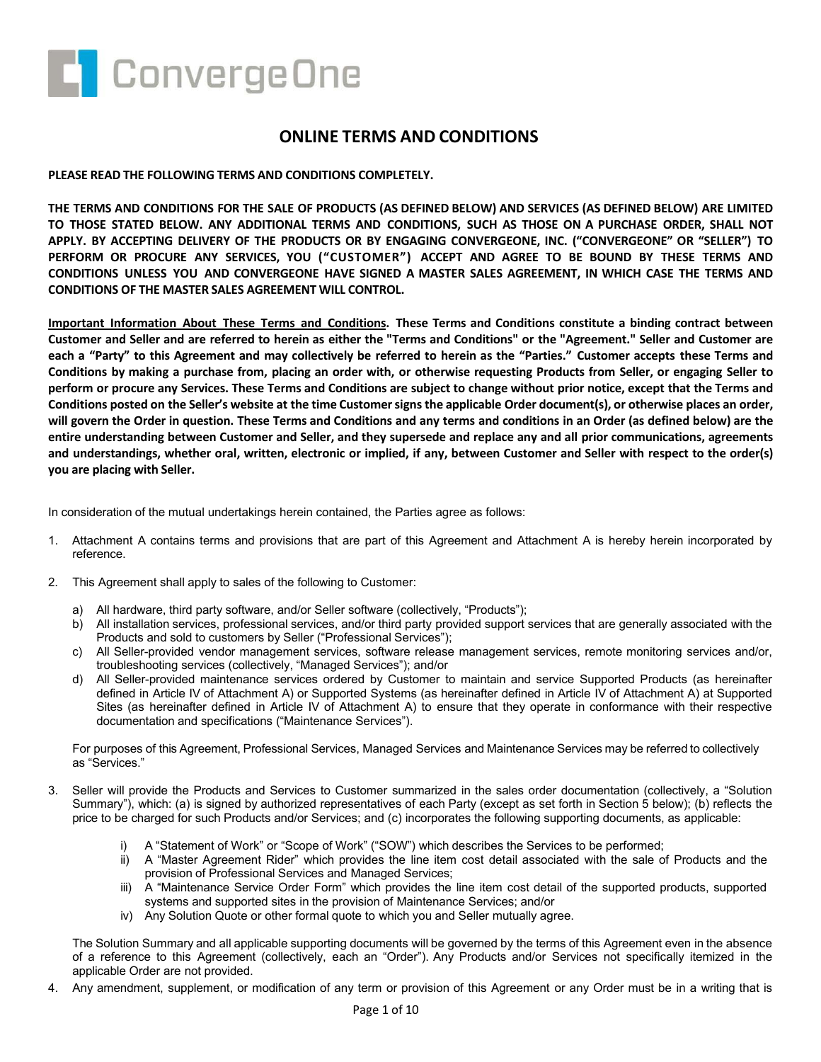

# **ONLINE TERMS AND CONDITIONS**

## **PLEASE READ THE FOLLOWING TERMS AND CONDITIONS COMPLETELY.**

**THE TERMS AND CONDITIONS FOR THE SALE OF PRODUCTS (AS DEFINED BELOW) AND SERVICES (AS DEFINED BELOW) ARE LIMITED TO THOSE STATED BELOW. ANY ADDITIONAL TERMS AND CONDITIONS, SUCH AS THOSE ON A PURCHASE ORDER, SHALL NOT APPLY. BY ACCEPTING DELIVERY OF THE PRODUCTS OR BY ENGAGING CONVERGEONE, INC. ("CONVERGEONE" OR "SELLER") TO PERFORM OR PROCURE ANY SERVICES, YOU ("CUSTOMER") ACCEPT AND AGREE TO BE BOUND BY THESE TERMS AND CONDITIONS UNLESS YOU AND CONVERGEONE HAVE SIGNED A MASTER SALES AGREEMENT, IN WHICH CASE THE TERMS AND CONDITIONS OF THE MASTER SALES AGREEMENT WILL CONTROL.**

**Important Information About These Terms and Conditions. These Terms and Conditions constitute a binding contract between Customer and Seller and are referred to herein as either the "Terms and Conditions" or the "Agreement." Seller and Customer are each a "Party" to this Agreement and may collectively be referred to herein as the "Parties." Customer accepts these Terms and Conditions by making a purchase from, placing an order with, or otherwise requesting Products from Seller, or engaging Seller to perform or procure any Services. These Terms and Conditions are subject to change without prior notice, except that the Terms and Conditions posted on the Seller's website at the time Customer signs the applicable Order document(s), or otherwise places an order, will govern the Order in question. These Terms and Conditions and any terms and conditions in an Order (as defined below) are the entire understanding between Customer and Seller, and they supersede and replace any and all prior communications, agreements and understandings, whether oral, written, electronic or implied, if any, between Customer and Seller with respect to the order(s) you are placing with Seller.**

In consideration of the mutual undertakings herein contained, the Parties agree as follows:

- 1. Attachment A contains terms and provisions that are part of this Agreement and Attachment A is hereby herein incorporated by reference.
- 2. This Agreement shall apply to sales of the following to Customer:
	- a) All hardware, third party software, and/or Seller software (collectively, "Products");
	- b) All installation services, professional services, and/or third party provided support services that are generally associated with the Products and sold to customers by Seller ("Professional Services");
	- c) All Seller-provided vendor management services, software release management services, remote monitoring services and/or, troubleshooting services (collectively, "Managed Services"); and/or
	- d) All Seller-provided maintenance services ordered by Customer to maintain and service Supported Products (as hereinafter defined in Article IV of Attachment A) or Supported Systems (as hereinafter defined in Article IV of Attachment A) at Supported Sites (as hereinafter defined in Article IV of Attachment A) to ensure that they operate in conformance with their respective documentation and specifications ("Maintenance Services").

For purposes of this Agreement, Professional Services, Managed Services and Maintenance Services may be referred to collectively as "Services."

- 3. Seller will provide the Products and Services to Customer summarized in the sales order documentation (collectively, a "Solution Summary"), which: (a) is signed by authorized representatives of each Party (except as set forth in Section 5 below); (b) reflects the price to be charged for such Products and/or Services; and (c) incorporates the following supporting documents, as applicable:
	- A "Statement of Work" or "Scope of Work" ("SOW") which describes the Services to be performed;
	- ii) A "Master Agreement Rider" which provides the line item cost detail associated with the sale of Products and the provision of Professional Services and Managed Services;
	- iii) A "Maintenance Service Order Form" which provides the line item cost detail of the supported products, supported systems and supported sites in the provision of Maintenance Services; and/or
	- iv) Any Solution Quote or other formal quote to which you and Seller mutually agree.

The Solution Summary and all applicable supporting documents will be governed by the terms of this Agreement even in the absence of a reference to this Agreement (collectively, each an "Order"). Any Products and/or Services not specifically itemized in the applicable Order are not provided.

4. Any amendment, supplement, or modification of any term or provision of this Agreement or any Order must be in a writing that is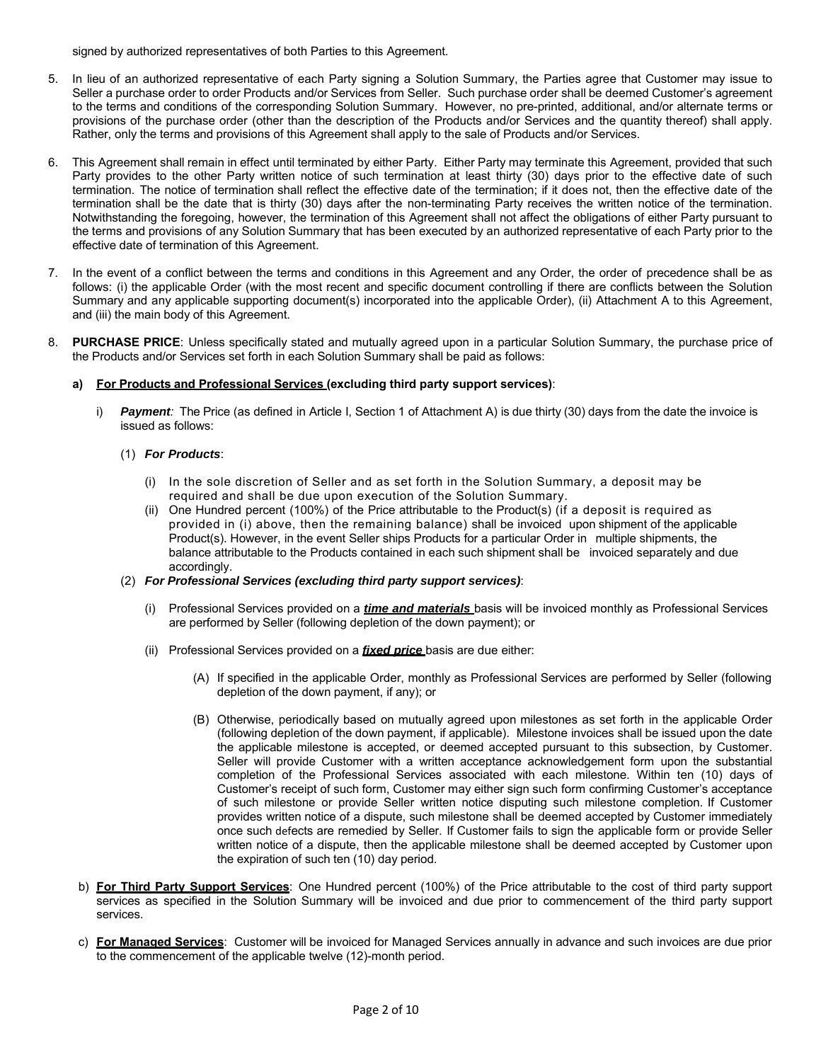signed by authorized representatives of both Parties to this Agreement.

- 5. In lieu of an authorized representative of each Party signing a Solution Summary, the Parties agree that Customer may issue to Seller a purchase order to order Products and/or Services from Seller. Such purchase order shall be deemed Customer's agreement to the terms and conditions of the corresponding Solution Summary. However, no pre-printed, additional, and/or alternate terms or provisions of the purchase order (other than the description of the Products and/or Services and the quantity thereof) shall apply. Rather, only the terms and provisions of this Agreement shall apply to the sale of Products and/or Services.
- 6. This Agreement shall remain in effect until terminated by either Party. Either Party may terminate this Agreement, provided that such Party provides to the other Party written notice of such termination at least thirty (30) days prior to the effective date of such termination. The notice of termination shall reflect the effective date of the termination; if it does not, then the effective date of the termination shall be the date that is thirty (30) days after the non-terminating Party receives the written notice of the termination. Notwithstanding the foregoing, however, the termination of this Agreement shall not affect the obligations of either Party pursuant to the terms and provisions of any Solution Summary that has been executed by an authorized representative of each Party prior to the effective date of termination of this Agreement.
- 7. In the event of a conflict between the terms and conditions in this Agreement and any Order, the order of precedence shall be as follows: (i) the applicable Order (with the most recent and specific document controlling if there are conflicts between the Solution Summary and any applicable supporting document(s) incorporated into the applicable Order), (ii) Attachment A to this Agreement, and (iii) the main body of this Agreement.
- 8. **PURCHASE PRICE**: Unless specifically stated and mutually agreed upon in a particular Solution Summary, the purchase price of the Products and/or Services set forth in each Solution Summary shall be paid as follows:

## **a) For Products and Professional Services (excluding third party support services)**:

i) *Payment:* The Price (as defined in Article I, Section 1 of Attachment A) is due thirty (30) days from the date the invoice is issued as follows:

## (1) *For Products*:

- (i) In the sole discretion of Seller and as set forth in the Solution Summary, a deposit may be required and shall be due upon execution of the Solution Summary.
- (ii) One Hundred percent (100%) of the Price attributable to the Product(s) (if a deposit is required as provided in (i) above, then the remaining balance) shall be invoiced upon shipment of the applicable Product(s). However, in the event Seller ships Products for a particular Order in multiple shipments, the balance attributable to the Products contained in each such shipment shall be invoiced separately and due accordingly.
- (2) *For Professional Services (excluding third party support services)*:
	- (i) Professional Services provided on a *time and materials* basis will be invoiced monthly as Professional Services are performed by Seller (following depletion of the down payment); or
	- (ii) Professional Services provided on a *fixed price* basis are due either:
		- (A) If specified in the applicable Order, monthly as Professional Services are performed by Seller (following depletion of the down payment, if any); or
		- (B) Otherwise, periodically based on mutually agreed upon milestones as set forth in the applicable Order (following depletion of the down payment, if applicable). Milestone invoices shall be issued upon the date the applicable milestone is accepted, or deemed accepted pursuant to this subsection, by Customer. Seller will provide Customer with a written acceptance acknowledgement form upon the substantial completion of the Professional Services associated with each milestone. Within ten (10) days of Customer's receipt of such form, Customer may either sign such form confirming Customer's acceptance of such milestone or provide Seller written notice disputing such milestone completion. If Customer provides written notice of a dispute, such milestone shall be deemed accepted by Customer immediately once such defects are remedied by Seller. If Customer fails to sign the applicable form or provide Seller written notice of a dispute, then the applicable milestone shall be deemed accepted by Customer upon the expiration of such ten (10) day period.
- b) **For Third Party Support Services**: One Hundred percent (100%) of the Price attributable to the cost of third party support services as specified in the Solution Summary will be invoiced and due prior to commencement of the third party support services.
- c) **For Managed Services**: Customer will be invoiced for Managed Services annually in advance and such invoices are due prior to the commencement of the applicable twelve (12)-month period.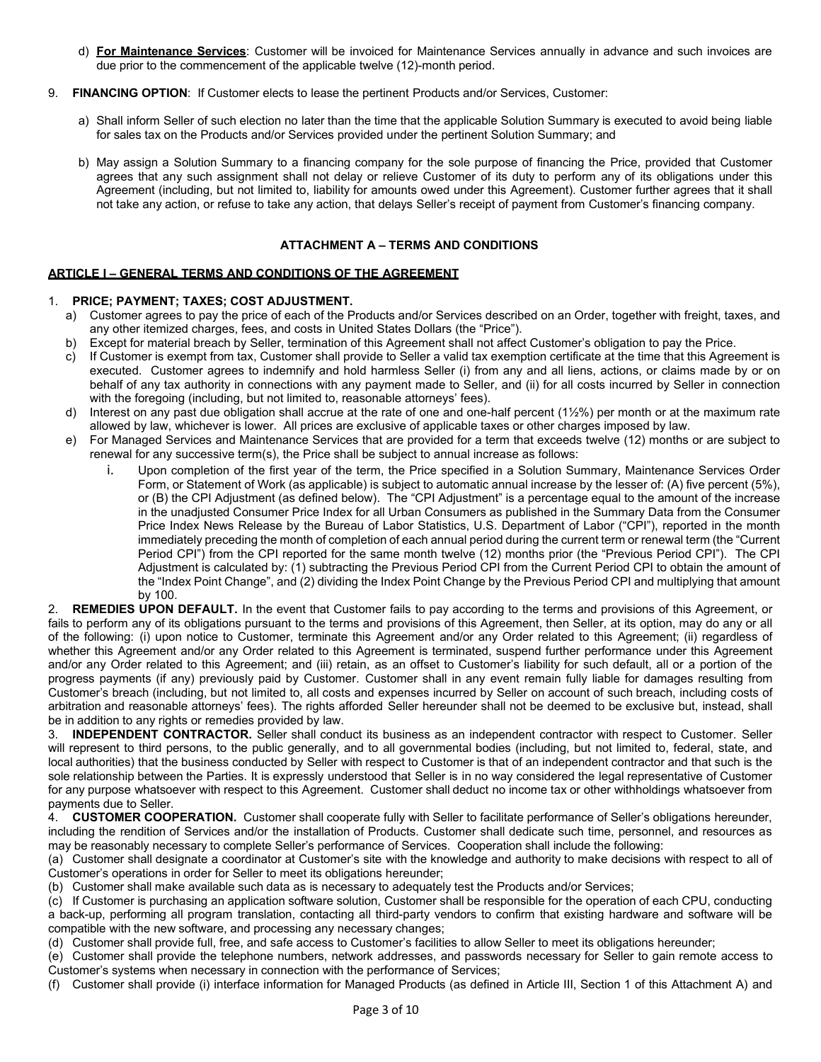- d) **For Maintenance Services**: Customer will be invoiced for Maintenance Services annually in advance and such invoices are due prior to the commencement of the applicable twelve (12)-month period.
- 9. **FINANCING OPTION**: If Customer elects to lease the pertinent Products and/or Services, Customer:
	- a) Shall inform Seller of such election no later than the time that the applicable Solution Summary is executed to avoid being liable for sales tax on the Products and/or Services provided under the pertinent Solution Summary; and
	- b) May assign a Solution Summary to a financing company for the sole purpose of financing the Price, provided that Customer agrees that any such assignment shall not delay or relieve Customer of its duty to perform any of its obligations under this Agreement (including, but not limited to, liability for amounts owed under this Agreement). Customer further agrees that it shall not take any action, or refuse to take any action, that delays Seller's receipt of payment from Customer's financing company.

## **ATTACHMENT A – TERMS AND CONDITIONS**

# **ARTICLE I – GENERAL TERMS AND CONDITIONS OF THE AGREEMENT**

## 1. **PRICE; PAYMENT; TAXES; COST ADJUSTMENT.**

- a) Customer agrees to pay the price of each of the Products and/or Services described on an Order, together with freight, taxes, and any other itemized charges, fees, and costs in United States Dollars (the "Price").
- b) Except for material breach by Seller, termination of this Agreement shall not affect Customer's obligation to pay the Price.
- c) If Customer is exempt from tax, Customer shall provide to Seller a valid tax exemption certificate at the time that this Agreement is executed. Customer agrees to indemnify and hold harmless Seller (i) from any and all liens, actions, or claims made by or on behalf of any tax authority in connections with any payment made to Seller, and (ii) for all costs incurred by Seller in connection with the foregoing (including, but not limited to, reasonable attorneys' fees).
- d) Interest on any past due obligation shall accrue at the rate of one and one-half percent (1½%) per month or at the maximum rate allowed by law, whichever is lower. All prices are exclusive of applicable taxes or other charges imposed by law.
- e) For Managed Services and Maintenance Services that are provided for a term that exceeds twelve (12) months or are subject to renewal for any successive term(s), the Price shall be subject to annual increase as follows:
	- i. Upon completion of the first year of the term, the Price specified in a Solution Summary, Maintenance Services Order Form, or Statement of Work (as applicable) is subject to automatic annual increase by the lesser of: (A) five percent (5%), or (B) the CPI Adjustment (as defined below). The "CPI Adjustment" is a percentage equal to the amount of the increase in the unadjusted Consumer Price Index for all Urban Consumers as published in the Summary Data from the Consumer Price Index News Release by the Bureau of Labor Statistics, U.S. Department of Labor ("CPI"), reported in the month immediately preceding the month of completion of each annual period during the current term or renewal term (the "Current Period CPI") from the CPI reported for the same month twelve (12) months prior (the "Previous Period CPI"). The CPI Adjustment is calculated by: (1) subtracting the Previous Period CPI from the Current Period CPI to obtain the amount of the "Index Point Change", and (2) dividing the Index Point Change by the Previous Period CPI and multiplying that amount by 100.

2. **REMEDIES UPON DEFAULT.** In the event that Customer fails to pay according to the terms and provisions of this Agreement, or fails to perform any of its obligations pursuant to the terms and provisions of this Agreement, then Seller, at its option, may do any or all of the following: (i) upon notice to Customer, terminate this Agreement and/or any Order related to this Agreement; (ii) regardless of whether this Agreement and/or any Order related to this Agreement is terminated, suspend further performance under this Agreement and/or any Order related to this Agreement; and (iii) retain, as an offset to Customer's liability for such default, all or a portion of the progress payments (if any) previously paid by Customer. Customer shall in any event remain fully liable for damages resulting from Customer's breach (including, but not limited to, all costs and expenses incurred by Seller on account of such breach, including costs of arbitration and reasonable attorneys' fees). The rights afforded Seller hereunder shall not be deemed to be exclusive but, instead, shall be in addition to any rights or remedies provided by law.

3. **INDEPENDENT CONTRACTOR.** Seller shall conduct its business as an independent contractor with respect to Customer. Seller will represent to third persons, to the public generally, and to all governmental bodies (including, but not limited to, federal, state, and local authorities) that the business conducted by Seller with respect to Customer is that of an independent contractor and that such is the sole relationship between the Parties. It is expressly understood that Seller is in no way considered the legal representative of Customer for any purpose whatsoever with respect to this Agreement. Customer shall deduct no income tax or other withholdings whatsoever from payments due to Seller.

4. **CUSTOMER COOPERATION.** Customer shall cooperate fully with Seller to facilitate performance of Seller's obligations hereunder, including the rendition of Services and/or the installation of Products. Customer shall dedicate such time, personnel, and resources as may be reasonably necessary to complete Seller's performance of Services. Cooperation shall include the following:

(a) Customer shall designate a coordinator at Customer's site with the knowledge and authority to make decisions with respect to all of Customer's operations in order for Seller to meet its obligations hereunder;

(b) Customer shall make available such data as is necessary to adequately test the Products and/or Services;

(c) If Customer is purchasing an application software solution, Customer shall be responsible for the operation of each CPU, conducting a back-up, performing all program translation, contacting all third-party vendors to confirm that existing hardware and software will be compatible with the new software, and processing any necessary changes;

(d) Customer shall provide full, free, and safe access to Customer's facilities to allow Seller to meet its obligations hereunder;

(e) Customer shall provide the telephone numbers, network addresses, and passwords necessary for Seller to gain remote access to Customer's systems when necessary in connection with the performance of Services;

(f) Customer shall provide (i) interface information for Managed Products (as defined in Article III, Section 1 of this Attachment A) and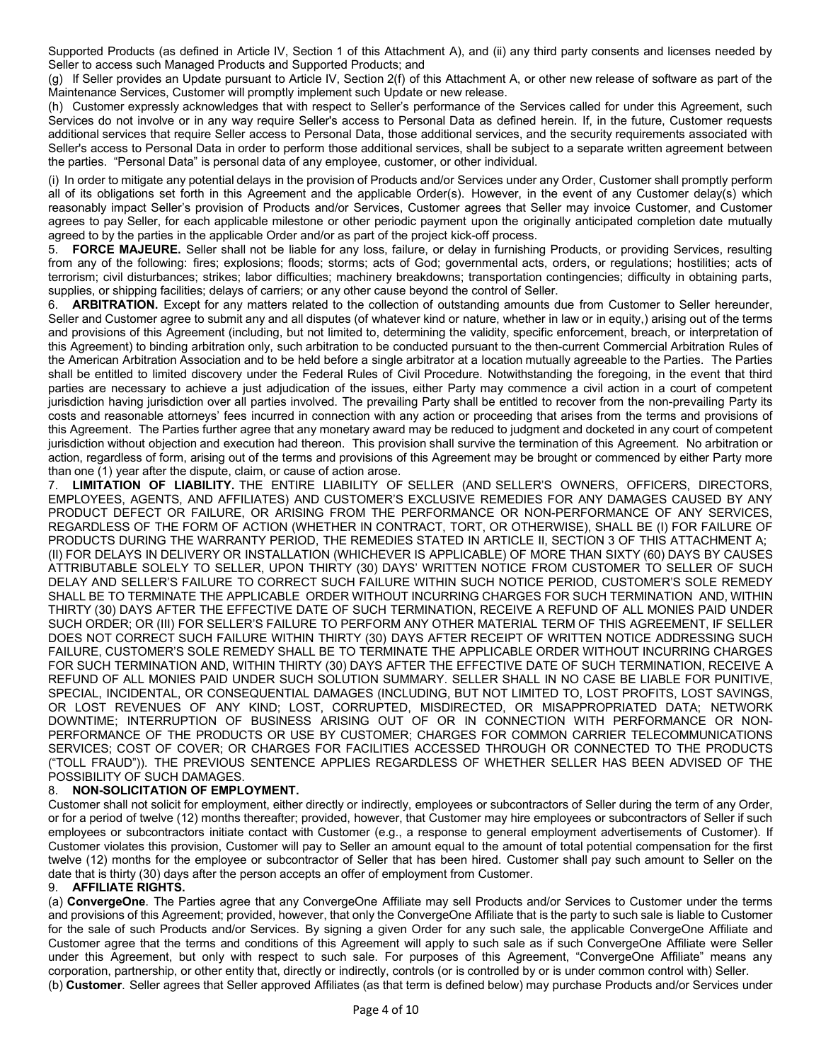Supported Products (as defined in Article IV, Section 1 of this Attachment A), and (ii) any third party consents and licenses needed by Seller to access such Managed Products and Supported Products; and

(g) If Seller provides an Update pursuant to Article IV, Section 2(f) of this Attachment A, or other new release of software as part of the Maintenance Services, Customer will promptly implement such Update or new release.

(h) Customer expressly acknowledges that with respect to Seller's performance of the Services called for under this Agreement, such Services do not involve or in any way require Seller's access to Personal Data as defined herein. If, in the future, Customer requests additional services that require Seller access to Personal Data, those additional services, and the security requirements associated with Seller's access to Personal Data in order to perform those additional services, shall be subject to a separate written agreement between the parties. "Personal Data" is personal data of any employee, customer, or other individual.

(i) In order to mitigate any potential delays in the provision of Products and/or Services under any Order, Customer shall promptly perform all of its obligations set forth in this Agreement and the applicable Order(s). However, in the event of any Customer delay(s) which reasonably impact Seller's provision of Products and/or Services, Customer agrees that Seller may invoice Customer, and Customer agrees to pay Seller, for each applicable milestone or other periodic payment upon the originally anticipated completion date mutually agreed to by the parties in the applicable Order and/or as part of the project kick-off process.

5. **FORCE MAJEURE.** Seller shall not be liable for any loss, failure, or delay in furnishing Products, or providing Services, resulting from any of the following: fires; explosions; floods; storms; acts of God; governmental acts, orders, or regulations; hostilities; acts of terrorism; civil disturbances; strikes; labor difficulties; machinery breakdowns; transportation contingencies; difficulty in obtaining parts, supplies, or shipping facilities; delays of carriers; or any other cause beyond the control of Seller.

6. **ARBITRATION.** Except for any matters related to the collection of outstanding amounts due from Customer to Seller hereunder, Seller and Customer agree to submit any and all disputes (of whatever kind or nature, whether in law or in equity,) arising out of the terms and provisions of this Agreement (including, but not limited to, determining the validity, specific enforcement, breach, or interpretation of this Agreement) to binding arbitration only, such arbitration to be conducted pursuant to the then-current Commercial Arbitration Rules of the American Arbitration Association and to be held before a single arbitrator at a location mutually agreeable to the Parties. The Parties shall be entitled to limited discovery under the Federal Rules of Civil Procedure. Notwithstanding the foregoing, in the event that third parties are necessary to achieve a just adjudication of the issues, either Party may commence a civil action in a court of competent jurisdiction having jurisdiction over all parties involved. The prevailing Party shall be entitled to recover from the non-prevailing Party its costs and reasonable attorneys' fees incurred in connection with any action or proceeding that arises from the terms and provisions of this Agreement. The Parties further agree that any monetary award may be reduced to judgment and docketed in any court of competent jurisdiction without objection and execution had thereon. This provision shall survive the termination of this Agreement. No arbitration or action, regardless of form, arising out of the terms and provisions of this Agreement may be brought or commenced by either Party more than one (1) year after the dispute, claim, or cause of action arose.

7. **LIMITATION OF LIABILITY.** THE ENTIRE LIABILITY OF SELLER (AND SELLER'S OWNERS, OFFICERS, DIRECTORS, EMPLOYEES, AGENTS, AND AFFILIATES) AND CUSTOMER'S EXCLUSIVE REMEDIES FOR ANY DAMAGES CAUSED BY ANY PRODUCT DEFECT OR FAILURE, OR ARISING FROM THE PERFORMANCE OR NON-PERFORMANCE OF ANY SERVICES, REGARDLESS OF THE FORM OF ACTION (WHETHER IN CONTRACT, TORT, OR OTHERWISE), SHALL BE (I) FOR FAILURE OF PRODUCTS DURING THE WARRANTY PERIOD, THE REMEDIES STATED IN ARTICLE II, SECTION 3 OF THIS ATTACHMENT A; (II) FOR DELAYS IN DELIVERY OR INSTALLATION (WHICHEVER IS APPLICABLE) OF MORE THAN SIXTY (60) DAYS BY CAUSES ATTRIBUTABLE SOLELY TO SELLER, UPON THIRTY (30) DAYS' WRITTEN NOTICE FROM CUSTOMER TO SELLER OF SUCH DELAY AND SELLER'S FAILURE TO CORRECT SUCH FAILURE WITHIN SUCH NOTICE PERIOD, CUSTOMER'S SOLE REMEDY SHALL BE TO TERMINATE THE APPLICABLE ORDER WITHOUT INCURRING CHARGES FOR SUCH TERMINATION AND, WITHIN THIRTY (30) DAYS AFTER THE EFFECTIVE DATE OF SUCH TERMINATION, RECEIVE A REFUND OF ALL MONIES PAID UNDER SUCH ORDER; OR (III) FOR SELLER'S FAILURE TO PERFORM ANY OTHER MATERIAL TERM OF THIS AGREEMENT, IF SELLER DOES NOT CORRECT SUCH FAILURE WITHIN THIRTY (30) DAYS AFTER RECEIPT OF WRITTEN NOTICE ADDRESSING SUCH FAILURE, CUSTOMER'S SOLE REMEDY SHALL BE TO TERMINATE THE APPLICABLE ORDER WITHOUT INCURRING CHARGES FOR SUCH TERMINATION AND, WITHIN THIRTY (30) DAYS AFTER THE EFFECTIVE DATE OF SUCH TERMINATION, RECEIVE A REFUND OF ALL MONIES PAID UNDER SUCH SOLUTION SUMMARY. SELLER SHALL IN NO CASE BE LIABLE FOR PUNITIVE, SPECIAL, INCIDENTAL, OR CONSEQUENTIAL DAMAGES (INCLUDING, BUT NOT LIMITED TO, LOST PROFITS, LOST SAVINGS, OR LOST REVENUES OF ANY KIND; LOST, CORRUPTED, MISDIRECTED, OR MISAPPROPRIATED DATA; NETWORK DOWNTIME; INTERRUPTION OF BUSINESS ARISING OUT OF OR IN CONNECTION WITH PERFORMANCE OR NON-PERFORMANCE OF THE PRODUCTS OR USE BY CUSTOMER; CHARGES FOR COMMON CARRIER TELECOMMUNICATIONS SERVICES; COST OF COVER; OR CHARGES FOR FACILITIES ACCESSED THROUGH OR CONNECTED TO THE PRODUCTS ("TOLL FRAUD")). THE PREVIOUS SENTENCE APPLIES REGARDLESS OF WHETHER SELLER HAS BEEN ADVISED OF THE POSSIBILITY OF SUCH DAMAGES.

## 8. **NON-SOLICITATION OF EMPLOYMENT.**

Customer shall not solicit for employment, either directly or indirectly, employees or subcontractors of Seller during the term of any Order, or for a period of twelve (12) months thereafter; provided, however, that Customer may hire employees or subcontractors of Seller if such employees or subcontractors initiate contact with Customer (e.g., a response to general employment advertisements of Customer). If Customer violates this provision, Customer will pay to Seller an amount equal to the amount of total potential compensation for the first twelve (12) months for the employee or subcontractor of Seller that has been hired. Customer shall pay such amount to Seller on the date that is thirty (30) days after the person accepts an offer of employment from Customer.

## 9. **AFFILIATE RIGHTS.**

(a) **ConvergeOne**. The Parties agree that any ConvergeOne Affiliate may sell Products and/or Services to Customer under the terms and provisions of this Agreement; provided, however, that only the ConvergeOne Affiliate that is the party to such sale is liable to Customer for the sale of such Products and/or Services. By signing a given Order for any such sale, the applicable ConvergeOne Affiliate and Customer agree that the terms and conditions of this Agreement will apply to such sale as if such ConvergeOne Affiliate were Seller under this Agreement, but only with respect to such sale. For purposes of this Agreement, "ConvergeOne Affiliate" means any corporation, partnership, or other entity that, directly or indirectly, controls (or is controlled by or is under common control with) Seller. (b) **Customer**. Seller agrees that Seller approved Affiliates (as that term is defined below) may purchase Products and/or Services under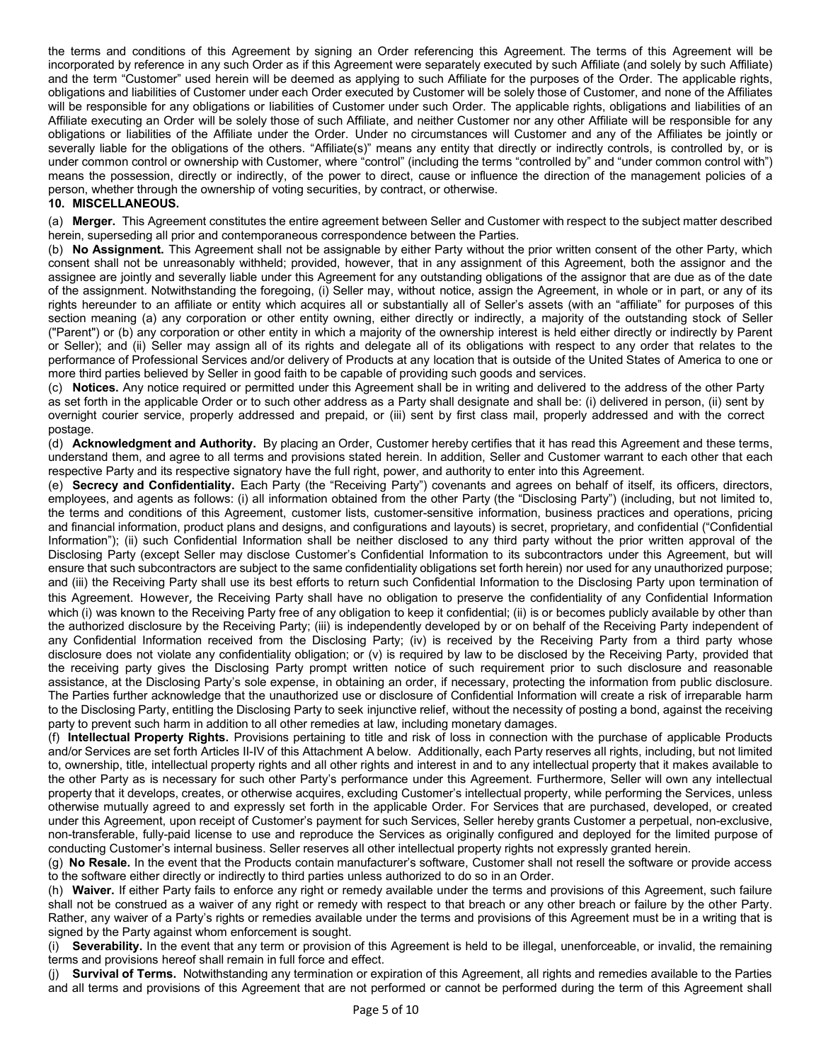the terms and conditions of this Agreement by signing an Order referencing this Agreement. The terms of this Agreement will be incorporated by reference in any such Order as if this Agreement were separately executed by such Affiliate (and solely by such Affiliate) and the term "Customer" used herein will be deemed as applying to such Affiliate for the purposes of the Order. The applicable rights, obligations and liabilities of Customer under each Order executed by Customer will be solely those of Customer, and none of the Affiliates will be responsible for any obligations or liabilities of Customer under such Order. The applicable rights, obligations and liabilities of an Affiliate executing an Order will be solely those of such Affiliate, and neither Customer nor any other Affiliate will be responsible for any obligations or liabilities of the Affiliate under the Order. Under no circumstances will Customer and any of the Affiliates be jointly or severally liable for the obligations of the others. "Affiliate(s)" means any entity that directly or indirectly controls, is controlled by, or is under common control or ownership with Customer, where "control" (including the terms "controlled by" and "under common control with") means the possession, directly or indirectly, of the power to direct, cause or influence the direction of the management policies of a person, whether through the ownership of voting securities, by contract, or otherwise.

#### **10. MISCELLANEOUS.**

(a) **Merger.** This Agreement constitutes the entire agreement between Seller and Customer with respect to the subject matter described herein, superseding all prior and contemporaneous correspondence between the Parties.

(b) **No Assignment.** This Agreement shall not be assignable by either Party without the prior written consent of the other Party, which consent shall not be unreasonably withheld; provided, however, that in any assignment of this Agreement, both the assignor and the assignee are jointly and severally liable under this Agreement for any outstanding obligations of the assignor that are due as of the date of the assignment. Notwithstanding the foregoing, (i) Seller may, without notice, assign the Agreement, in whole or in part, or any of its rights hereunder to an affiliate or entity which acquires all or substantially all of Seller's assets (with an "affiliate" for purposes of this section meaning (a) any corporation or other entity owning, either directly or indirectly, a majority of the outstanding stock of Seller ("Parent") or (b) any corporation or other entity in which a majority of the ownership interest is held either directly or indirectly by Parent or Seller); and (ii) Seller may assign all of its rights and delegate all of its obligations with respect to any order that relates to the performance of Professional Services and/or delivery of Products at any location that is outside of the United States of America to one or more third parties believed by Seller in good faith to be capable of providing such goods and services.

(c) **Notices.** Any notice required or permitted under this Agreement shall be in writing and delivered to the address of the other Party as set forth in the applicable Order or to such other address as a Party shall designate and shall be: (i) delivered in person, (ii) sent by overnight courier service, properly addressed and prepaid, or (iii) sent by first class mail, properly addressed and with the correct postage.

(d) **Acknowledgment and Authority.** By placing an Order, Customer hereby certifies that it has read this Agreement and these terms, understand them, and agree to all terms and provisions stated herein. In addition, Seller and Customer warrant to each other that each respective Party and its respective signatory have the full right, power, and authority to enter into this Agreement.

(e) **Secrecy and Confidentiality.** Each Party (the "Receiving Party") covenants and agrees on behalf of itself, its officers, directors, employees, and agents as follows: (i) all information obtained from the other Party (the "Disclosing Party") (including, but not limited to, the terms and conditions of this Agreement, customer lists, customer-sensitive information, business practices and operations, pricing and financial information, product plans and designs, and configurations and layouts) is secret, proprietary, and confidential ("Confidential Information"); (ii) such Confidential Information shall be neither disclosed to any third party without the prior written approval of the Disclosing Party (except Seller may disclose Customer's Confidential Information to its subcontractors under this Agreement, but will ensure that such subcontractors are subject to the same confidentiality obligations set forth herein) nor used for any unauthorized purpose; and (iii) the Receiving Party shall use its best efforts to return such Confidential Information to the Disclosing Party upon termination of this Agreement. However, the Receiving Party shall have no obligation to preserve the confidentiality of any Confidential Information which (i) was known to the Receiving Party free of any obligation to keep it confidential; (ii) is or becomes publicly available by other than the authorized disclosure by the Receiving Party; (iii) is independently developed by or on behalf of the Receiving Party independent of any Confidential Information received from the Disclosing Party; (iv) is received by the Receiving Party from a third party whose disclosure does not violate any confidentiality obligation; or (v) is required by law to be disclosed by the Receiving Party, provided that the receiving party gives the Disclosing Party prompt written notice of such requirement prior to such disclosure and reasonable assistance, at the Disclosing Party's sole expense, in obtaining an order, if necessary, protecting the information from public disclosure. The Parties further acknowledge that the unauthorized use or disclosure of Confidential Information will create a risk of irreparable harm to the Disclosing Party, entitling the Disclosing Party to seek injunctive relief, without the necessity of posting a bond, against the receiving party to prevent such harm in addition to all other remedies at law, including monetary damages.

(f) **Intellectual Property Rights.** Provisions pertaining to title and risk of loss in connection with the purchase of applicable Products and/or Services are set forth Articles II-IV of this Attachment A below. Additionally, each Party reserves all rights, including, but not limited to, ownership, title, intellectual property rights and all other rights and interest in and to any intellectual property that it makes available to the other Party as is necessary for such other Party's performance under this Agreement. Furthermore, Seller will own any intellectual property that it develops, creates, or otherwise acquires, excluding Customer's intellectual property, while performing the Services, unless otherwise mutually agreed to and expressly set forth in the applicable Order. For Services that are purchased, developed, or created under this Agreement, upon receipt of Customer's payment for such Services, Seller hereby grants Customer a perpetual, non-exclusive, non-transferable, fully-paid license to use and reproduce the Services as originally configured and deployed for the limited purpose of conducting Customer's internal business. Seller reserves all other intellectual property rights not expressly granted herein.

(g) **No Resale.** In the event that the Products contain manufacturer's software, Customer shall not resell the software or provide access to the software either directly or indirectly to third parties unless authorized to do so in an Order.

(h) **Waiver.** If either Party fails to enforce any right or remedy available under the terms and provisions of this Agreement, such failure shall not be construed as a waiver of any right or remedy with respect to that breach or any other breach or failure by the other Party. Rather, any waiver of a Party's rights or remedies available under the terms and provisions of this Agreement must be in a writing that is signed by the Party against whom enforcement is sought.

(i) **Severability.** In the event that any term or provision of this Agreement is held to be illegal, unenforceable, or invalid, the remaining terms and provisions hereof shall remain in full force and effect.

Survival of Terms. Notwithstanding any termination or expiration of this Agreement, all rights and remedies available to the Parties and all terms and provisions of this Agreement that are not performed or cannot be performed during the term of this Agreement shall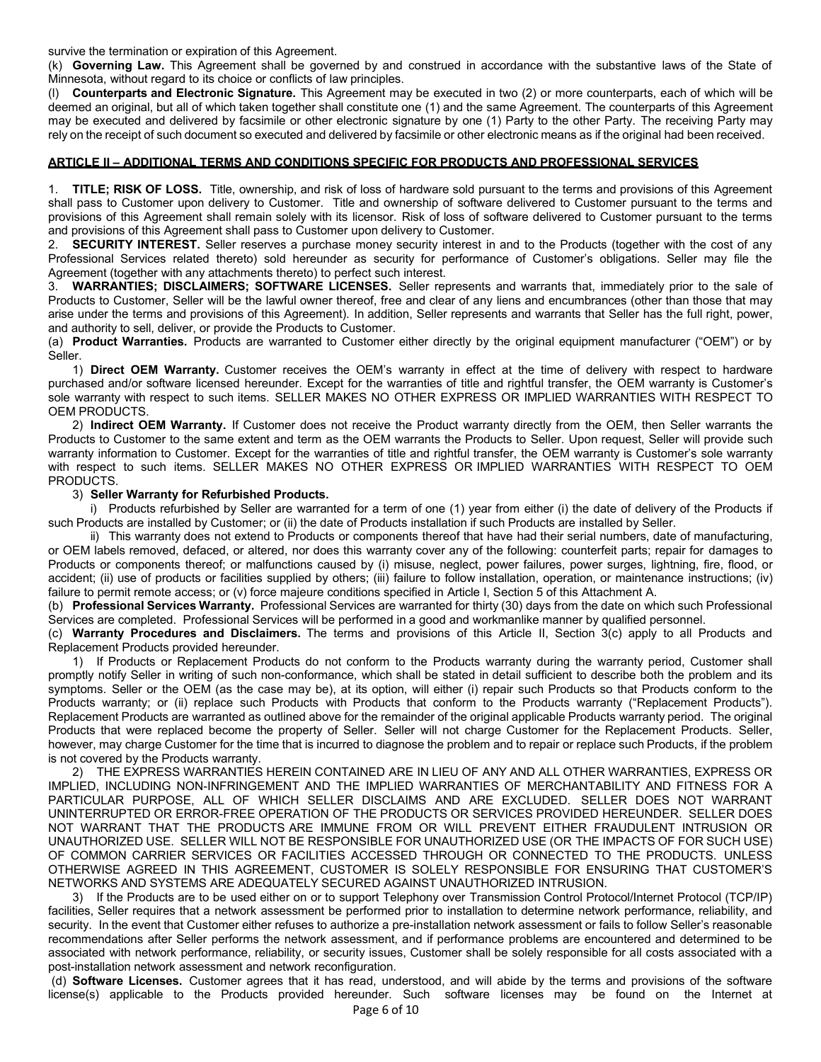survive the termination or expiration of this Agreement.

(k) **Governing Law.** This Agreement shall be governed by and construed in accordance with the substantive laws of the State of Minnesota, without regard to its choice or conflicts of law principles.

(l) **Counterparts and Electronic Signature.** This Agreement may be executed in two (2) or more counterparts, each of which will be deemed an original, but all of which taken together shall constitute one (1) and the same Agreement. The counterparts of this Agreement may be executed and delivered by facsimile or other electronic signature by one (1) Party to the other Party. The receiving Party may rely on the receipt of such document so executed and delivered by facsimile or other electronic means as if the original had been received.

## **ARTICLE II – ADDITIONAL TERMS AND CONDITIONS SPECIFIC FOR PRODUCTS AND PROFESSIONAL SERVICES**

1. **TITLE; RISK OF LOSS.** Title, ownership, and risk of loss of hardware sold pursuant to the terms and provisions of this Agreement shall pass to Customer upon delivery to Customer. Title and ownership of software delivered to Customer pursuant to the terms and provisions of this Agreement shall remain solely with its licensor. Risk of loss of software delivered to Customer pursuant to the terms and provisions of this Agreement shall pass to Customer upon delivery to Customer.

**SECURITY INTEREST.** Seller reserves a purchase money security interest in and to the Products (together with the cost of any Professional Services related thereto) sold hereunder as security for performance of Customer's obligations. Seller may file the Agreement (together with any attachments thereto) to perfect such interest.

3. **WARRANTIES; DISCLAIMERS; SOFTWARE LICENSES.** Seller represents and warrants that, immediately prior to the sale of Products to Customer, Seller will be the lawful owner thereof, free and clear of any liens and encumbrances (other than those that may arise under the terms and provisions of this Agreement). In addition, Seller represents and warrants that Seller has the full right, power, and authority to sell, deliver, or provide the Products to Customer.

(a) **Product Warranties.** Products are warranted to Customer either directly by the original equipment manufacturer ("OEM") or by Seller.

1) **Direct OEM Warranty.** Customer receives the OEM's warranty in effect at the time of delivery with respect to hardware purchased and/or software licensed hereunder. Except for the warranties of title and rightful transfer, the OEM warranty is Customer's sole warranty with respect to such items. SELLER MAKES NO OTHER EXPRESS OR IMPLIED WARRANTIES WITH RESPECT TO OEM PRODUCTS.

2) **Indirect OEM Warranty.** If Customer does not receive the Product warranty directly from the OEM, then Seller warrants the Products to Customer to the same extent and term as the OEM warrants the Products to Seller. Upon request, Seller will provide such warranty information to Customer. Except for the warranties of title and rightful transfer, the OEM warranty is Customer's sole warranty with respect to such items. SELLER MAKES NO OTHER EXPRESS OR IMPLIED WARRANTIES WITH RESPECT TO OEM PRODUCTS.

## 3) **Seller Warranty for Refurbished Products.**

i) Products refurbished by Seller are warranted for a term of one (1) year from either (i) the date of delivery of the Products if such Products are installed by Customer; or (ii) the date of Products installation if such Products are installed by Seller.

ii) This warranty does not extend to Products or components thereof that have had their serial numbers, date of manufacturing, or OEM labels removed, defaced, or altered, nor does this warranty cover any of the following: counterfeit parts; repair for damages to Products or components thereof; or malfunctions caused by (i) misuse, neglect, power failures, power surges, lightning, fire, flood, or accident; (ii) use of products or facilities supplied by others; (iii) failure to follow installation, operation, or maintenance instructions; (iv) failure to permit remote access; or (v) force majeure conditions specified in Article I, Section 5 of this Attachment A.

(b) **Professional Services Warranty.** Professional Services are warranted for thirty (30) days from the date on which such Professional Services are completed. Professional Services will be performed in a good and workmanlike manner by qualified personnel.

(c) **Warranty Procedures and Disclaimers.** The terms and provisions of this Article II, Section 3(c) apply to all Products and Replacement Products provided hereunder.

1) If Products or Replacement Products do not conform to the Products warranty during the warranty period, Customer shall promptly notify Seller in writing of such non-conformance, which shall be stated in detail sufficient to describe both the problem and its symptoms. Seller or the OEM (as the case may be), at its option, will either (i) repair such Products so that Products conform to the Products warranty; or (ii) replace such Products with Products that conform to the Products warranty ("Replacement Products"). Replacement Products are warranted as outlined above for the remainder of the original applicable Products warranty period. The original Products that were replaced become the property of Seller. Seller will not charge Customer for the Replacement Products. Seller, however, may charge Customer for the time that is incurred to diagnose the problem and to repair or replace such Products, if the problem is not covered by the Products warranty.

2) THE EXPRESS WARRANTIES HEREIN CONTAINED ARE IN LIEU OF ANY AND ALL OTHER WARRANTIES, EXPRESS OR IMPLIED, INCLUDING NON-INFRINGEMENT AND THE IMPLIED WARRANTIES OF MERCHANTABILITY AND FITNESS FOR A PARTICULAR PURPOSE, ALL OF WHICH SELLER DISCLAIMS AND ARE EXCLUDED. SELLER DOES NOT WARRANT UNINTERRUPTED OR ERROR-FREE OPERATION OF THE PRODUCTS OR SERVICES PROVIDED HEREUNDER. SELLER DOES NOT WARRANT THAT THE PRODUCTS ARE IMMUNE FROM OR WILL PREVENT EITHER FRAUDULENT INTRUSION OR UNAUTHORIZED USE. SELLER WILL NOT BE RESPONSIBLE FOR UNAUTHORIZED USE (OR THE IMPACTS OF FOR SUCH USE) OF COMMON CARRIER SERVICES OR FACILITIES ACCESSED THROUGH OR CONNECTED TO THE PRODUCTS. UNLESS OTHERWISE AGREED IN THIS AGREEMENT, CUSTOMER IS SOLELY RESPONSIBLE FOR ENSURING THAT CUSTOMER'S NETWORKS AND SYSTEMS ARE ADEQUATELY SECURED AGAINST UNAUTHORIZED INTRUSION.

3) If the Products are to be used either on or to support Telephony over Transmission Control Protocol/Internet Protocol (TCP/IP) facilities, Seller requires that a network assessment be performed prior to installation to determine network performance, reliability, and security. In the event that Customer either refuses to authorize a pre-installation network assessment or fails to follow Seller's reasonable recommendations after Seller performs the network assessment, and if performance problems are encountered and determined to be associated with network performance, reliability, or security issues, Customer shall be solely responsible for all costs associated with a post-installation network assessment and network reconfiguration.

(d) **Software Licenses.** Customer agrees that it has read, understood, and will abide by the terms and provisions of the software license(s) applicable to the Products provided hereunder. Such software licenses may be found on the Internet at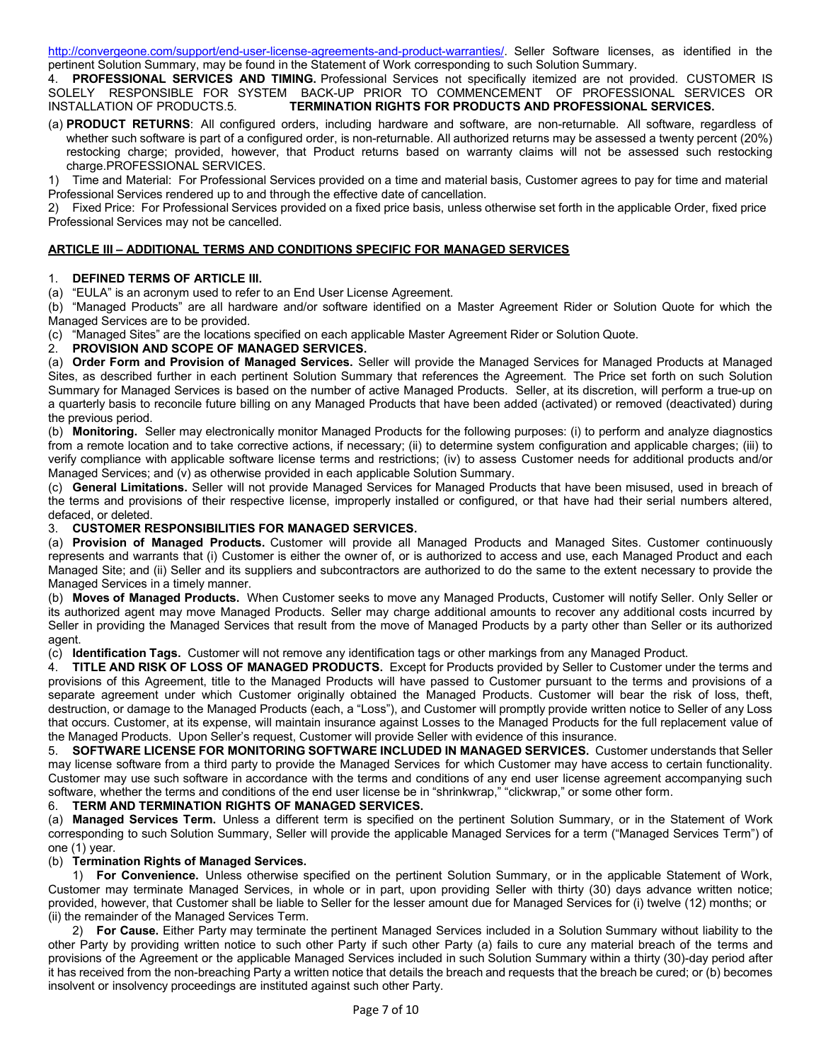http://convergeone.com/support/end-user-license-agreements-and-product-warranties/. Seller Software licenses, as identified in the pertinent Solution Summary, may be found in the Statement of Work corresponding to such Solution Summary.

4. **PROFESSIONAL SERVICES AND TIMING.** Professional Services not specifically itemized are not provided. CUSTOMER IS SOLELY RESPONSIBLE FOR SYSTEM BACK-UP PRIOR TO COMMENCEMENT OF PROFESSIONAL SERVICES OR INSTALLATION OF PRODUCTS.5. **TERMINATION RIGHTS FOR PRODUCTS AND PROFESSIONAL SERVICES.**

(a) **PRODUCT RETURNS**: All configured orders, including hardware and software, are non-returnable. All software, regardless of whether such software is part of a configured order, is non-returnable. All authorized returns may be assessed a twenty percent (20%) restocking charge; provided, however, that Product returns based on warranty claims will not be assessed such restocking charge.PROFESSIONAL SERVICES.

1) Time and Material: For Professional Services provided on a time and material basis, Customer agrees to pay for time and material Professional Services rendered up to and through the effective date of cancellation.

2) Fixed Price: For Professional Services provided on a fixed price basis, unless otherwise set forth in the applicable Order, fixed price Professional Services may not be cancelled.

# **ARTICLE III – ADDITIONAL TERMS AND CONDITIONS SPECIFIC FOR MANAGED SERVICES**

## 1. **DEFINED TERMS OF ARTICLE III.**

(a) "EULA" is an acronym used to refer to an End User License Agreement.

(b) "Managed Products" are all hardware and/or software identified on a Master Agreement Rider or Solution Quote for which the Managed Services are to be provided.

(c) "Managed Sites" are the locations specified on each applicable Master Agreement Rider or Solution Quote.

## 2. **PROVISION AND SCOPE OF MANAGED SERVICES.**

(a) **Order Form and Provision of Managed Services.** Seller will provide the Managed Services for Managed Products at Managed Sites, as described further in each pertinent Solution Summary that references the Agreement. The Price set forth on such Solution Summary for Managed Services is based on the number of active Managed Products. Seller, at its discretion, will perform a true-up on a quarterly basis to reconcile future billing on any Managed Products that have been added (activated) or removed (deactivated) during the previous period.

(b) **Monitoring.** Seller may electronically monitor Managed Products for the following purposes: (i) to perform and analyze diagnostics from a remote location and to take corrective actions, if necessary; (ii) to determine system configuration and applicable charges; (iii) to verify compliance with applicable software license terms and restrictions; (iv) to assess Customer needs for additional products and/or Managed Services; and (v) as otherwise provided in each applicable Solution Summary.

(c) **General Limitations.** Seller will not provide Managed Services for Managed Products that have been misused, used in breach of the terms and provisions of their respective license, improperly installed or configured, or that have had their serial numbers altered, defaced, or deleted.

## 3. **CUSTOMER RESPONSIBILITIES FOR MANAGED SERVICES.**

(a) **Provision of Managed Products.** Customer will provide all Managed Products and Managed Sites. Customer continuously represents and warrants that (i) Customer is either the owner of, or is authorized to access and use, each Managed Product and each Managed Site; and (ii) Seller and its suppliers and subcontractors are authorized to do the same to the extent necessary to provide the Managed Services in a timely manner.

(b) **Moves of Managed Products.** When Customer seeks to move any Managed Products, Customer will notify Seller. Only Seller or its authorized agent may move Managed Products. Seller may charge additional amounts to recover any additional costs incurred by Seller in providing the Managed Services that result from the move of Managed Products by a party other than Seller or its authorized agent.

(c) **Identification Tags.** Customer will not remove any identification tags or other markings from any Managed Product.

4. **TITLE AND RISK OF LOSS OF MANAGED PRODUCTS.** Except for Products provided by Seller to Customer under the terms and provisions of this Agreement, title to the Managed Products will have passed to Customer pursuant to the terms and provisions of a separate agreement under which Customer originally obtained the Managed Products. Customer will bear the risk of loss, theft, destruction, or damage to the Managed Products (each, a "Loss"), and Customer will promptly provide written notice to Seller of any Loss that occurs. Customer, at its expense, will maintain insurance against Losses to the Managed Products for the full replacement value of the Managed Products. Upon Seller's request, Customer will provide Seller with evidence of this insurance.

5. **SOFTWARE LICENSE FOR MONITORING SOFTWARE INCLUDED IN MANAGED SERVICES.** Customer understands that Seller may license software from a third party to provide the Managed Services for which Customer may have access to certain functionality. Customer may use such software in accordance with the terms and conditions of any end user license agreement accompanying such software, whether the terms and conditions of the end user license be in "shrinkwrap," "clickwrap," or some other form.

## 6. **TERM AND TERMINATION RIGHTS OF MANAGED SERVICES.**

(a) **Managed Services Term.** Unless a different term is specified on the pertinent Solution Summary, or in the Statement of Work corresponding to such Solution Summary, Seller will provide the applicable Managed Services for a term ("Managed Services Term") of one (1) year.

## (b) **Termination Rights of Managed Services.**

1) **For Convenience.** Unless otherwise specified on the pertinent Solution Summary, or in the applicable Statement of Work, Customer may terminate Managed Services, in whole or in part, upon providing Seller with thirty (30) days advance written notice; provided, however, that Customer shall be liable to Seller for the lesser amount due for Managed Services for (i) twelve (12) months; or (ii) the remainder of the Managed Services Term.

2) **For Cause.** Either Party may terminate the pertinent Managed Services included in a Solution Summary without liability to the other Party by providing written notice to such other Party if such other Party (a) fails to cure any material breach of the terms and provisions of the Agreement or the applicable Managed Services included in such Solution Summary within a thirty (30)-day period after it has received from the non-breaching Party a written notice that details the breach and requests that the breach be cured; or (b) becomes insolvent or insolvency proceedings are instituted against such other Party.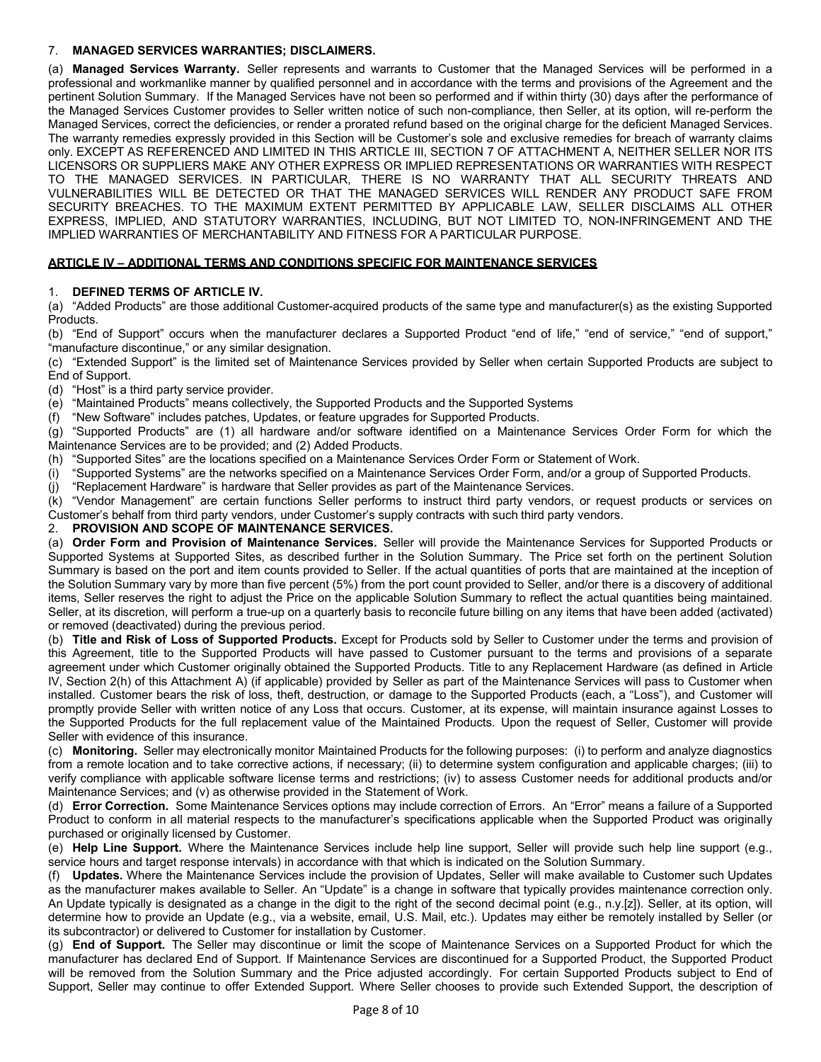# 7. **MANAGED SERVICES WARRANTIES; DISCLAIMERS.**

(a) **Managed Services Warranty.** Seller represents and warrants to Customer that the Managed Services will be performed in a professional and workmanlike manner by qualified personnel and in accordance with the terms and provisions of the Agreement and the pertinent Solution Summary. If the Managed Services have not been so performed and if within thirty (30) days after the performance of the Managed Services Customer provides to Seller written notice of such non-compliance, then Seller, at its option, will re-perform the Managed Services, correct the deficiencies, or render a prorated refund based on the original charge for the deficient Managed Services. The warranty remedies expressly provided in this Section will be Customer's sole and exclusive remedies for breach of warranty claims only. EXCEPT AS REFERENCED AND LIMITED IN THIS ARTICLE III, SECTION 7 OF ATTACHMENT A, NEITHER SELLER NOR ITS LICENSORS OR SUPPLIERS MAKE ANY OTHER EXPRESS OR IMPLIED REPRESENTATIONS OR WARRANTIES WITH RESPECT TO THE MANAGED SERVICES. IN PARTICULAR, THERE IS NO WARRANTY THAT ALL SECURITY THREATS AND VULNERABILITIES WILL BE DETECTED OR THAT THE MANAGED SERVICES WILL RENDER ANY PRODUCT SAFE FROM SECURITY BREACHES. TO THE MAXIMUM EXTENT PERMITTED BY APPLICABLE LAW, SELLER DISCLAIMS ALL OTHER EXPRESS, IMPLIED, AND STATUTORY WARRANTIES, INCLUDING, BUT NOT LIMITED TO, NON-INFRINGEMENT AND THE IMPLIED WARRANTIES OF MERCHANTABILITY AND FITNESS FOR A PARTICULAR PURPOSE.

## **ARTICLE IV – ADDITIONAL TERMS AND CONDITIONS SPECIFIC FOR MAINTENANCE SERVICES**

## 1. **DEFINED TERMS OF ARTICLE IV.**

(a) "Added Products" are those additional Customer-acquired products of the same type and manufacturer(s) as the existing Supported Products.

(b) "End of Support" occurs when the manufacturer declares a Supported Product "end of life," "end of service," "end of support," "manufacture discontinue," or any similar designation.

(c) "Extended Support" is the limited set of Maintenance Services provided by Seller when certain Supported Products are subject to End of Support.

(d) "Host" is a third party service provider.

(e) "Maintained Products" means collectively, the Supported Products and the Supported Systems

(f) "New Software" includes patches, Updates, or feature upgrades for Supported Products.

(g) "Supported Products" are (1) all hardware and/or software identified on a Maintenance Services Order Form for which the Maintenance Services are to be provided; and (2) Added Products.

(h) "Supported Sites" are the locations specified on a Maintenance Services Order Form or Statement of Work.

(i) "Supported Systems" are the networks specified on a Maintenance Services Order Form, and/or a group of Supported Products.

(j) "Replacement Hardware" is hardware that Seller provides as part of the Maintenance Services.

(k) "Vendor Management" are certain functions Seller performs to instruct third party vendors, or request products or services on Customer's behalf from third party vendors, under Customer's supply contracts with such third party vendors.

## 2. **PROVISION AND SCOPE OF MAINTENANCE SERVICES.**

(a) **Order Form and Provision of Maintenance Services.** Seller will provide the Maintenance Services for Supported Products or Supported Systems at Supported Sites, as described further in the Solution Summary. The Price set forth on the pertinent Solution Summary is based on the port and item counts provided to Seller. If the actual quantities of ports that are maintained at the inception of the Solution Summary vary by more than five percent (5%) from the port count provided to Seller, and/or there is a discovery of additional items, Seller reserves the right to adjust the Price on the applicable Solution Summary to reflect the actual quantities being maintained. Seller, at its discretion, will perform a true-up on a quarterly basis to reconcile future billing on any items that have been added (activated) or removed (deactivated) during the previous period.

(b) **Title and Risk of Loss of Supported Products.** Except for Products sold by Seller to Customer under the terms and provision of this Agreement, title to the Supported Products will have passed to Customer pursuant to the terms and provisions of a separate agreement under which Customer originally obtained the Supported Products. Title to any Replacement Hardware (as defined in Article IV, Section 2(h) of this Attachment A) (if applicable) provided by Seller as part of the Maintenance Services will pass to Customer when installed. Customer bears the risk of loss, theft, destruction, or damage to the Supported Products (each, a "Loss"), and Customer will promptly provide Seller with written notice of any Loss that occurs. Customer, at its expense, will maintain insurance against Losses to the Supported Products for the full replacement value of the Maintained Products. Upon the request of Seller, Customer will provide Seller with evidence of this insurance.

(c) **Monitoring.** Seller may electronically monitor Maintained Products for the following purposes: (i) to perform and analyze diagnostics from a remote location and to take corrective actions, if necessary; (ii) to determine system configuration and applicable charges; (iii) to verify compliance with applicable software license terms and restrictions; (iv) to assess Customer needs for additional products and/or Maintenance Services; and (v) as otherwise provided in the Statement of Work.

(d) **Error Correction.** Some Maintenance Services options may include correction of Errors. An "Error" means a failure of a Supported Product to conform in all material respects to the manufacturer's specifications applicable when the Supported Product was originally purchased or originally licensed by Customer.

(e) **Help Line Support.** Where the Maintenance Services include help line support, Seller will provide such help line support (e.g., service hours and target response intervals) in accordance with that which is indicated on the Solution Summary.

(f) **Updates.** Where the Maintenance Services include the provision of Updates, Seller will make available to Customer such Updates as the manufacturer makes available to Seller. An "Update" is a change in software that typically provides maintenance correction only. An Update typically is designated as a change in the digit to the right of the second decimal point (e.g., n.y.[z]). Seller, at its option, will determine how to provide an Update (e.g., via a website, email, U.S. Mail, etc.). Updates may either be remotely installed by Seller (or its subcontractor) or delivered to Customer for installation by Customer.

(g) **End of Support.** The Seller may discontinue or limit the scope of Maintenance Services on a Supported Product for which the manufacturer has declared End of Support. If Maintenance Services are discontinued for a Supported Product, the Supported Product will be removed from the Solution Summary and the Price adjusted accordingly. For certain Supported Products subject to End of Support, Seller may continue to offer Extended Support. Where Seller chooses to provide such Extended Support, the description of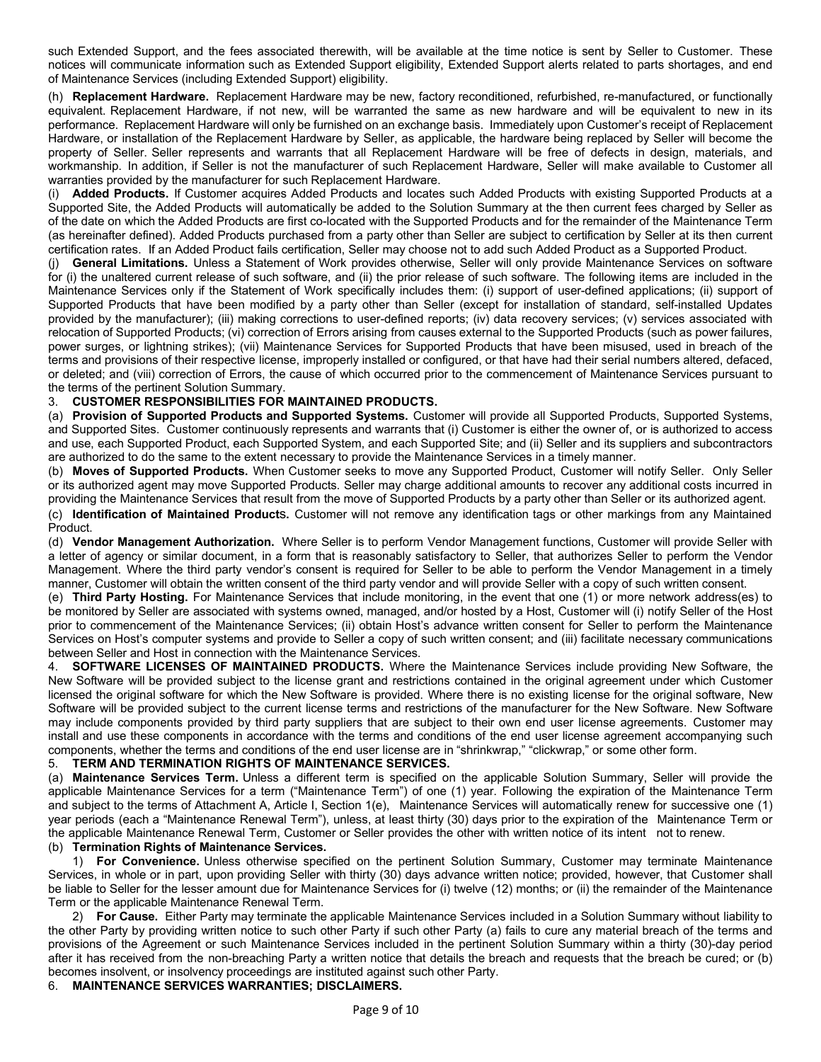such Extended Support, and the fees associated therewith, will be available at the time notice is sent by Seller to Customer. These notices will communicate information such as Extended Support eligibility, Extended Support alerts related to parts shortages, and end of Maintenance Services (including Extended Support) eligibility.

(h) **Replacement Hardware.** Replacement Hardware may be new, factory reconditioned, refurbished, re-manufactured, or functionally equivalent. Replacement Hardware, if not new, will be warranted the same as new hardware and will be equivalent to new in its performance. Replacement Hardware will only be furnished on an exchange basis. Immediately upon Customer's receipt of Replacement Hardware, or installation of the Replacement Hardware by Seller, as applicable, the hardware being replaced by Seller will become the property of Seller. Seller represents and warrants that all Replacement Hardware will be free of defects in design, materials, and workmanship. In addition, if Seller is not the manufacturer of such Replacement Hardware, Seller will make available to Customer all warranties provided by the manufacturer for such Replacement Hardware.

(i) **Added Products.** If Customer acquires Added Products and locates such Added Products with existing Supported Products at a Supported Site, the Added Products will automatically be added to the Solution Summary at the then current fees charged by Seller as of the date on which the Added Products are first co-located with the Supported Products and for the remainder of the Maintenance Term (as hereinafter defined). Added Products purchased from a party other than Seller are subject to certification by Seller at its then current certification rates. If an Added Product fails certification, Seller may choose not to add such Added Product as a Supported Product.

(j) **General Limitations.** Unless a Statement of Work provides otherwise, Seller will only provide Maintenance Services on software for (i) the unaltered current release of such software, and (ii) the prior release of such software. The following items are included in the Maintenance Services only if the Statement of Work specifically includes them: (i) support of user-defined applications; (ii) support of Supported Products that have been modified by a party other than Seller (except for installation of standard, self-installed Updates provided by the manufacturer); (iii) making corrections to user-defined reports; (iv) data recovery services; (v) services associated with relocation of Supported Products; (vi) correction of Errors arising from causes external to the Supported Products (such as power failures, power surges, or lightning strikes); (vii) Maintenance Services for Supported Products that have been misused, used in breach of the terms and provisions of their respective license, improperly installed or configured, or that have had their serial numbers altered, defaced, or deleted; and (viii) correction of Errors, the cause of which occurred prior to the commencement of Maintenance Services pursuant to the terms of the pertinent Solution Summary.

# 3. **CUSTOMER RESPONSIBILITIES FOR MAINTAINED PRODUCTS.**

(a) **Provision of Supported Products and Supported Systems.** Customer will provide all Supported Products, Supported Systems, and Supported Sites. Customer continuously represents and warrants that (i) Customer is either the owner of, or is authorized to access and use, each Supported Product, each Supported System, and each Supported Site; and (ii) Seller and its suppliers and subcontractors are authorized to do the same to the extent necessary to provide the Maintenance Services in a timely manner.

(b) **Moves of Supported Products.** When Customer seeks to move any Supported Product, Customer will notify Seller. Only Seller or its authorized agent may move Supported Products. Seller may charge additional amounts to recover any additional costs incurred in providing the Maintenance Services that result from the move of Supported Products by a party other than Seller or its authorized agent.

(c) **Identification of Maintained Product**s**.** Customer will not remove any identification tags or other markings from any Maintained Product.

(d) **Vendor Management Authorization.** Where Seller is to perform Vendor Management functions, Customer will provide Seller with a letter of agency or similar document, in a form that is reasonably satisfactory to Seller, that authorizes Seller to perform the Vendor Management. Where the third party vendor's consent is required for Seller to be able to perform the Vendor Management in a timely manner, Customer will obtain the written consent of the third party vendor and will provide Seller with a copy of such written consent.

(e) **Third Party Hosting.** For Maintenance Services that include monitoring, in the event that one (1) or more network address(es) to be monitored by Seller are associated with systems owned, managed, and/or hosted by a Host, Customer will (i) notify Seller of the Host prior to commencement of the Maintenance Services; (ii) obtain Host's advance written consent for Seller to perform the Maintenance Services on Host's computer systems and provide to Seller a copy of such written consent; and (iii) facilitate necessary communications between Seller and Host in connection with the Maintenance Services.

4. **SOFTWARE LICENSES OF MAINTAINED PRODUCTS.** Where the Maintenance Services include providing New Software, the New Software will be provided subject to the license grant and restrictions contained in the original agreement under which Customer licensed the original software for which the New Software is provided. Where there is no existing license for the original software, New Software will be provided subject to the current license terms and restrictions of the manufacturer for the New Software. New Software may include components provided by third party suppliers that are subject to their own end user license agreements. Customer may install and use these components in accordance with the terms and conditions of the end user license agreement accompanying such components, whether the terms and conditions of the end user license are in "shrinkwrap," "clickwrap," or some other form.

## 5. **TERM AND TERMINATION RIGHTS OF MAINTENANCE SERVICES.**

(a) **Maintenance Services Term.** Unless a different term is specified on the applicable Solution Summary, Seller will provide the applicable Maintenance Services for a term ("Maintenance Term") of one (1) year. Following the expiration of the Maintenance Term and subject to the terms of Attachment A, Article I, Section 1(e), Maintenance Services will automatically renew for successive one (1) year periods (each a "Maintenance Renewal Term"), unless, at least thirty (30) days prior to the expiration of the Maintenance Term or the applicable Maintenance Renewal Term, Customer or Seller provides the other with written notice of its intent not to renew. (b) **Termination Rights of Maintenance Services.**

1) **For Convenience.** Unless otherwise specified on the pertinent Solution Summary, Customer may terminate Maintenance Services, in whole or in part, upon providing Seller with thirty (30) days advance written notice; provided, however, that Customer shall be liable to Seller for the lesser amount due for Maintenance Services for (i) twelve (12) months; or (ii) the remainder of the Maintenance Term or the applicable Maintenance Renewal Term.

2) **For Cause.** Either Party may terminate the applicable Maintenance Services included in a Solution Summary without liability to the other Party by providing written notice to such other Party if such other Party (a) fails to cure any material breach of the terms and provisions of the Agreement or such Maintenance Services included in the pertinent Solution Summary within a thirty (30)-day period after it has received from the non-breaching Party a written notice that details the breach and requests that the breach be cured; or (b) becomes insolvent, or insolvency proceedings are instituted against such other Party.

# 6. **MAINTENANCE SERVICES WARRANTIES; DISCLAIMERS.**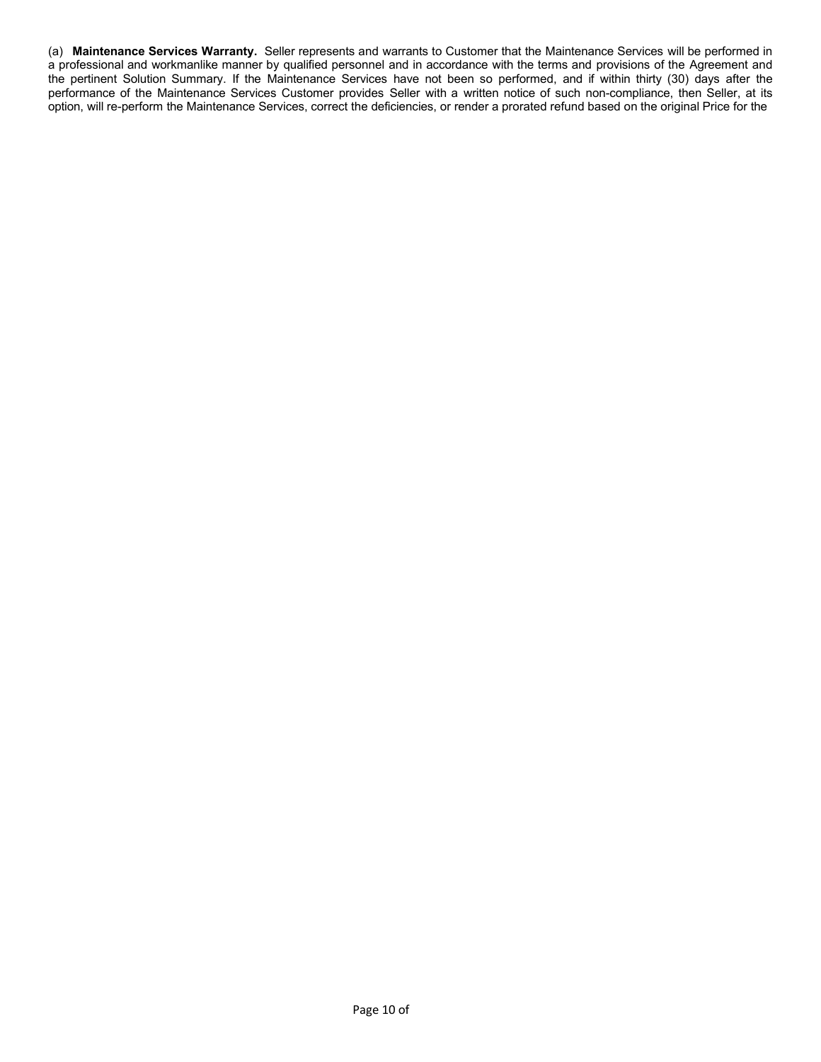(a) **Maintenance Services Warranty.** Seller represents and warrants to Customer that the Maintenance Services will be performed in a professional and workmanlike manner by qualified personnel and in accordance with the terms and provisions of the Agreement and the pertinent Solution Summary. If the Maintenance Services have not been so performed, and if within thirty (30) days after the performance of the Maintenance Services Customer provides Seller with a written notice of such non-compliance, then Seller, at its option, will re-perform the Maintenance Services, correct the deficiencies, or render a prorated refund based on the original Price for the